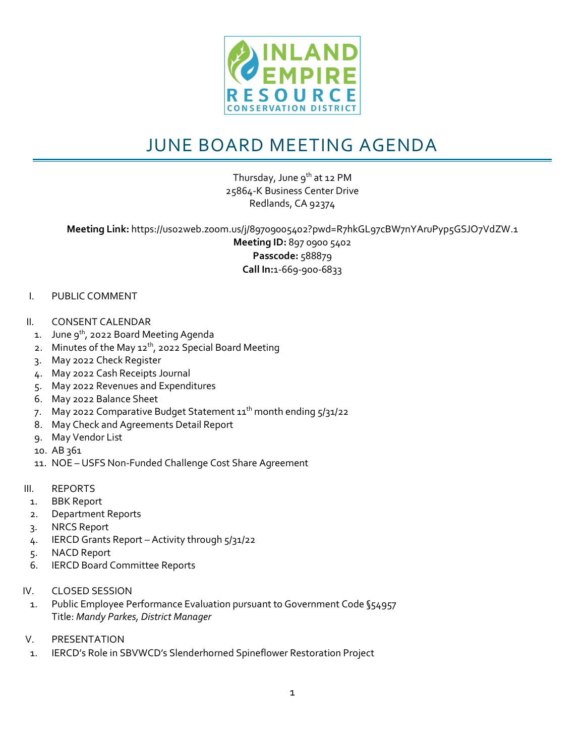

## JUNE BOARD MEETING AGENDA

Thursday, June  $9^{th}$  at 12 PM 25864-K Business Center Drive Redlands, CA 92374

**Meeting Link:** https://us02web.zoom.us/j/89709005402?pwd=R7hkGL97cBW7nYAruPyp5GSJO7VdZW.1 **Meeting ID:** 897 0900 5402 **Passcode:** 588879 **Call In:**1-669-900-6833

## I. PUBLIC COMMENT

- II. CONSENT CALENDAR
	- 1. June  $9^{th}$ , 2022 Board Meeting Agenda
	- 2. Minutes of the May  $12^{th}$ , 2022 Special Board Meeting
	- 3. May 2022 Check Register
	- 4. May 2022 Cash Receipts Journal
	- 5. May 2022 Revenues and Expenditures
	- 6. May 2022 Balance Sheet
	- 7. May 2022 Comparative Budget Statement  $11<sup>th</sup>$  month ending  $5/31/22$
	- 8. May Check and Agreements Detail Report
	- 9. May Vendor List
	- 10. AB 361
	- 11. NOE USFS Non-Funded Challenge Cost Share Agreement
- III. REPORTS
	- 1. BBK Report
	- 2. Department Reports
	- 3. NRCS Report
	- 4. IERCD Grants Report Activity through 5/31/22
	- 5. NACD Report
	- 6. IERCD Board Committee Reports
- IV. CLOSED SESSION
	- 1. Public Employee Performance Evaluation pursuant to Government Code §54957 Title: *Mandy Parkes, District Manager*
- V. PRESENTATION
- 1. IERCD's Role in SBVWCD's Slenderhorned Spineflower Restoration Project